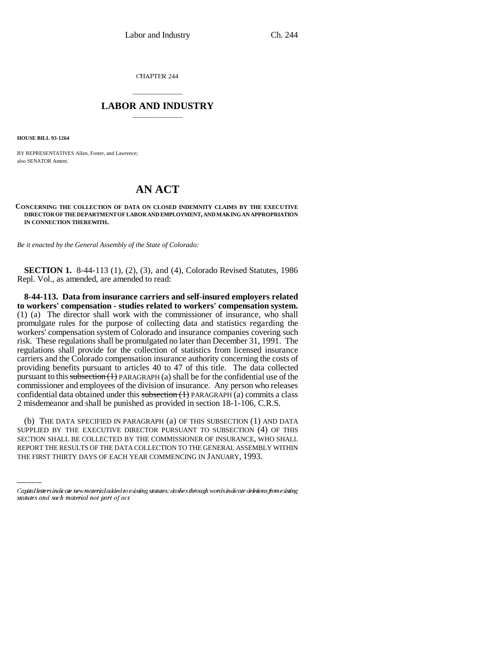CHAPTER 244

## \_\_\_\_\_\_\_\_\_\_\_\_\_\_\_ **LABOR AND INDUSTRY** \_\_\_\_\_\_\_\_\_\_\_\_\_\_\_

**HOUSE BILL 93-1264**

BY REPRESENTATIVES Allen, Foster, and Lawrence; also SENATOR Ament.

## **AN ACT**

**CONCERNING THE COLLECTION OF DATA ON CLOSED INDEMNITY CLAIMS BY THE EXECUTIVE DIRECTOR OF THE DEPARTMENT OF LABOR AND EMPLOYMENT, AND MAKING AN APPROPRIATION IN CONNECTION THEREWITH.**

*Be it enacted by the General Assembly of the State of Colorado:*

**SECTION 1.** 8-44-113 (1), (2), (3), and (4), Colorado Revised Statutes, 1986 Repl. Vol., as amended, are amended to read:

**8-44-113. Data from insurance carriers and self-insured employers related to workers' compensation - studies related to workers' compensation system.** (1) (a) The director shall work with the commissioner of insurance, who shall promulgate rules for the purpose of collecting data and statistics regarding the workers' compensation system of Colorado and insurance companies covering such risk. These regulations shall be promulgated no later than December 31, 1991. The regulations shall provide for the collection of statistics from licensed insurance carriers and the Colorado compensation insurance authority concerning the costs of providing benefits pursuant to articles 40 to 47 of this title. The data collected pursuant to this subsection  $(1)$  PARAGRAPH (a) shall be for the confidential use of the commissioner and employees of the division of insurance. Any person who releases confidential data obtained under this  $\frac{\text{subsection}(1)}{\text{PARAGRAPH}}$  (a) commits a class 2 misdemeanor and shall be punished as provided in section 18-1-106, C.R.S.

(b) THE DATA SPECIFIED IN PARAGRAPH (a) OF THIS SUBSECTION (1) AND DATA SUPPLIED BY THE EXECUTIVE DIRECTOR PURSUANT TO SUBSECTION (4) OF THIS SECTION SHALL BE COLLECTED BY THE COMMISSIONER OF INSURANCE, WHO SHALL REPORT THE RESULTS OF THE DATA COLLECTION TO THE GENERAL ASSEMBLY WITHIN THE FIRST THIRTY DAYS OF EACH YEAR COMMENCING IN JANUARY, 1993.

Capital letters indicate new material added to existing statutes; dashes through words indicate deletions from existing statutes and such material not part of act.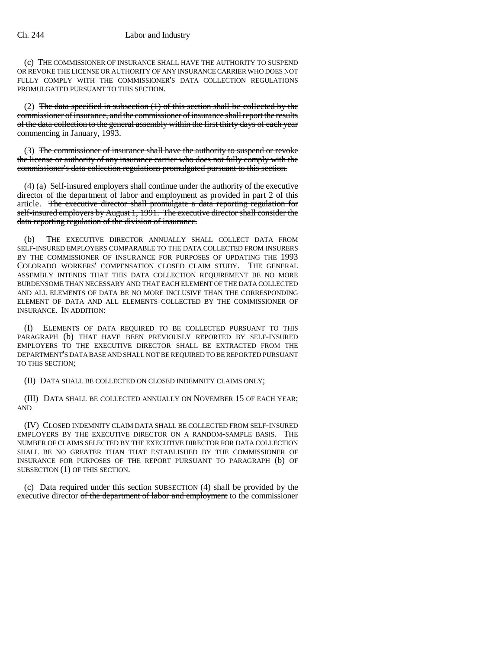(c) THE COMMISSIONER OF INSURANCE SHALL HAVE THE AUTHORITY TO SUSPEND OR REVOKE THE LICENSE OR AUTHORITY OF ANY INSURANCE CARRIER WHO DOES NOT FULLY COMPLY WITH THE COMMISSIONER'S DATA COLLECTION REGULATIONS PROMULGATED PURSUANT TO THIS SECTION.

(2) The data specified in subsection  $(1)$  of this section shall be collected by the commissioner of insurance, and the commissioner of insurance shall report the results of the data collection to the general assembly within the first thirty days of each year commencing in January, 1993.

(3) The commissioner of insurance shall have the authority to suspend or revoke the license or authority of any insurance carrier who does not fully comply with the commissioner's data collection regulations promulgated pursuant to this section.

(4) (a) Self-insured employers shall continue under the authority of the executive director of the department of labor and employment as provided in part 2 of this article. The executive director shall promulgate a data reporting regulation for self-insured employers by August 1, 1991. The executive director shall consider the data reporting regulation of the division of insurance.

(b) THE EXECUTIVE DIRECTOR ANNUALLY SHALL COLLECT DATA FROM SELF-INSURED EMPLOYERS COMPARABLE TO THE DATA COLLECTED FROM INSURERS BY THE COMMISSIONER OF INSURANCE FOR PURPOSES OF UPDATING THE 1993 COLORADO WORKERS' COMPENSATION CLOSED CLAIM STUDY. THE GENERAL ASSEMBLY INTENDS THAT THIS DATA COLLECTION REQUIREMENT BE NO MORE BURDENSOME THAN NECESSARY AND THAT EACH ELEMENT OF THE DATA COLLECTED AND ALL ELEMENTS OF DATA BE NO MORE INCLUSIVE THAN THE CORRESPONDING ELEMENT OF DATA AND ALL ELEMENTS COLLECTED BY THE COMMISSIONER OF INSURANCE. IN ADDITION:

(I) ELEMENTS OF DATA REQUIRED TO BE COLLECTED PURSUANT TO THIS PARAGRAPH (b) THAT HAVE BEEN PREVIOUSLY REPORTED BY SELF-INSURED EMPLOYERS TO THE EXECUTIVE DIRECTOR SHALL BE EXTRACTED FROM THE DEPARTMENT'S DATA BASE AND SHALL NOT BE REQUIRED TO BE REPORTED PURSUANT TO THIS SECTION;

(II) DATA SHALL BE COLLECTED ON CLOSED INDEMNITY CLAIMS ONLY;

(III) DATA SHALL BE COLLECTED ANNUALLY ON NOVEMBER 15 OF EACH YEAR; AND

(IV) CLOSED INDEMNITY CLAIM DATA SHALL BE COLLECTED FROM SELF-INSURED EMPLOYERS BY THE EXECUTIVE DIRECTOR ON A RANDOM-SAMPLE BASIS. THE NUMBER OF CLAIMS SELECTED BY THE EXECUTIVE DIRECTOR FOR DATA COLLECTION SHALL BE NO GREATER THAN THAT ESTABLISHED BY THE COMMISSIONER OF INSURANCE FOR PURPOSES OF THE REPORT PURSUANT TO PARAGRAPH (b) OF SUBSECTION (1) OF THIS SECTION.

(c) Data required under this section SUBSECTION (4) shall be provided by the executive director of the department of labor and employment to the commissioner